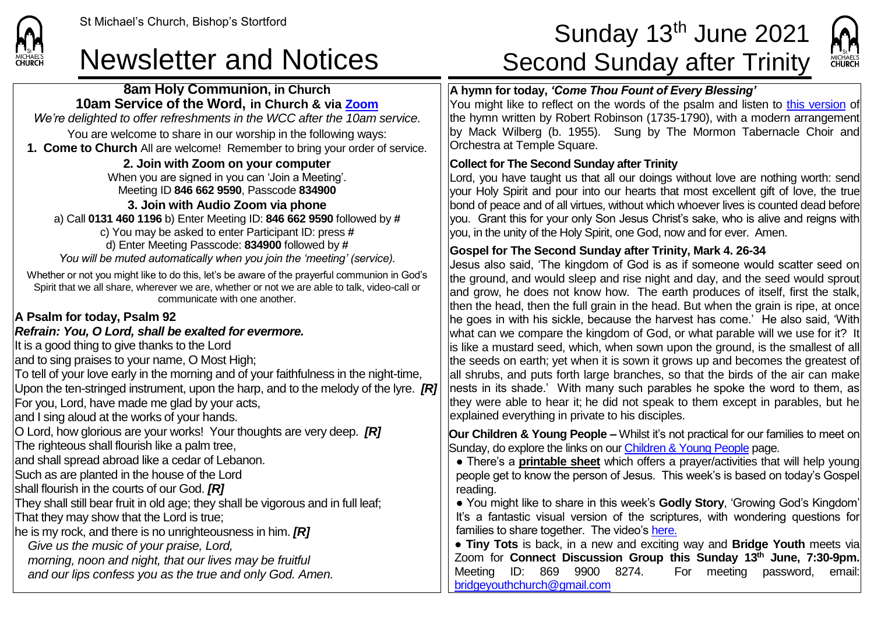**CHURCH** 

# St Michael's Church, Bishop's Stortford Sunday 13<sup>th</sup> June 2021 Newsletter and Notices Second Sunday after Trinity



## **8am Holy Communion, in Church 10am Service of the Word, in Church & via [Zoom](https://zoom.us/)** *We're delighted to offer refreshments in the WCC after the 10am service.* You are welcome to share in our worship in the following ways: **1. Come to Church** All are welcome! Remember to bring your order of service. **2. Join with Zoom on your computer** When you are signed in you can 'Join a Meeting'. Meeting ID **846 662 9590**, Passcode **834900 3. Join with Audio Zoom via phone**  a) Call **0131 460 1196** b) Enter Meeting ID: **846 662 9590** followed by **#** c) You may be asked to enter Participant ID: press **#** d) Enter Meeting Passcode: **834900** followed by **#** *You will be muted automatically when you join the 'meeting' (service).* Whether or not you might like to do this, let's be aware of the prayerful communion in God's Spirit that we all share, wherever we are, whether or not we are able to talk, video-call or communicate with one another. **A Psalm for today, Psalm 92** *Refrain: You, O Lord, shall be exalted for evermore.* It is a good thing to give thanks to the Lord and to sing praises to your name, O Most High; To tell of your love early in the morning and of your faithfulness in the night-time, Upon the ten-stringed instrument, upon the harp, and to the melody of the lyre. *[R]* For you, Lord, have made me glad by your acts, and I sing aloud at the works of your hands. O Lord, how glorious are your works! Your thoughts are very deep. *[R]* The righteous shall flourish like a palm tree, and shall spread abroad like a cedar of Lebanon. Such as are planted in the house of the Lord shall flourish in the courts of our God. *[R]* They shall still bear fruit in old age; they shall be vigorous and in full leaf; That they may show that the Lord is true; he is my rock, and there is no unrighteousness in him. *[R] Give us the music of your praise, Lord, morning, noon and night, that our lives may be fruitful and our lips confess you as the true and only God. Amen.* **A hymn for today,** *'Come Thou Fount of Every Blessing'* You might like to reflect on the words of the psalm and listen to [this version](https://www.youtube.com/watch?v=gPKpkrqBwNs) of the hymn written by Robert Robinson (1735-1790), with a modern arrangement by Mack Wilberg (b. 1955). Sung by The Mormon Tabernacle Choir and Orchestra at Temple Square. **Collect for The Second Sunday after Trinity** Lord, you have taught us that all our doings without love are nothing worth: send your Holy Spirit and pour into our hearts that most excellent gift of love, the true bond of peace and of all virtues, without which whoever lives is counted dead before you. Grant this for your only Son Jesus Christ's sake, who is alive and reigns with you, in the unity of the Holy Spirit, one God, now and for ever. Amen. **Gospel for The Second Sunday after Trinity, Mark 4. 26-34** Jesus also said, 'The kingdom of God is as if someone would scatter seed on the ground, and would sleep and rise night and day, and the seed would sprout and grow, he does not know how. The earth produces of itself, first the stalk, then the head, then the full grain in the head. But when the grain is ripe, at once he goes in with his sickle, because the harvest has come.' He also said, 'With what can we compare the kingdom of God, or what parable will we use for it? It is like a mustard seed, which, when sown upon the ground, is the smallest of all the seeds on earth; yet when it is sown it grows up and becomes the greatest of all shrubs, and puts forth large branches, so that the birds of the air can make nests in its shade.' With many such parables he spoke the word to them, as they were able to hear it; he did not speak to them except in parables, but he explained everything in private to his disciples. **Our Children & Young People –** Whilst it's not practical for our families to meet on Sunday, do explore the links on ou[r Children & Young People](https://saintmichaelweb.org.uk/Groups/310496/Children_and_Young.aspx) page. ● There's a **[printable sheet](https://saintmichaelweb.org.uk/Groups/310496/Children_and_Young.aspx)** which offers a prayer/activities that will help young people get to know the person of Jesus. This week's is based on today's Gospel reading. ● You might like to share in this week's **Godly Story**, 'Growing God's Kingdom' It's a fantastic visual version of the scriptures, with wondering questions for families to share together. The video's [here.](https://www.youtube.com/watch?v=KqmTTiK9V8I) ● **Tiny Tots** is back, in a new and exciting way and **Bridge Youth** meets via Zoom for **Connect Discussion Group this Sunday 13th June, 7:30-9pm.**  Meeting ID: 869 9900 8274. For meeting password, email: [bridgeyouthchurch@gmail.com](mailto:bridgeyouthchurch@gmail.com)